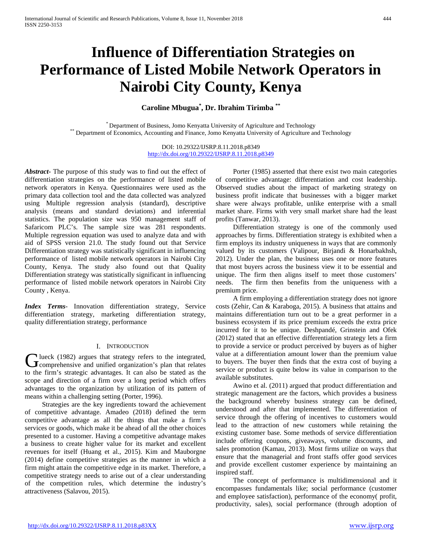# **Influence of Differentiation Strategies on Performance of Listed Mobile Network Operators in Nairobi City County, Kenya**

**Caroline Mbugua\* , Dr. Ibrahim Tirimba \*\***

\* Department of Business, Jomo Kenyatta University of Agriculture and Technology \*\* Department of Economics, Accounting and Finance, Jomo Kenyatta University of Agriculture and Technology

DOI: 10.29322/IJSRP.8.11.2018.p8349 <http://dx.doi.org/10.29322/IJSRP.8.11.2018.p8349>

*Abstract***-** The purpose of this study was to find out the effect of differentiation strategies on the performance of listed mobile network operators in Kenya. Questionnaires were used as the primary data collection tool and the data collected was analyzed using Multiple regression analysis (standard), descriptive analysis (means and standard deviations) and inferential statistics. The population size was 950 management staff of Safaricom PLC's. The sample size was 281 respondents. Multiple regression equation was used to analyze data and with aid of SPSS version 21.0. The study found out that Service Differentiation strategy was statistically significant in influencing performance of listed mobile network operators in Nairobi City County, Kenya. The study also found out that Quality Differentiation strategy was statistically significant in influencing performance of listed mobile network operators in Nairobi City County , Kenya.

*Index Terms*- Innovation differentiation strategy, Service differentiation strategy, marketing differentiation strategy, quality differentiation strategy, performance

#### I. INTRODUCTION

lueck (1982) argues that strategy refers to the integrated, Glueck (1982) argues that strategy refers to the integrated,<br>Comprehensive and unified organization's plan that relates to the firm's strategic advantages. It can also be stated as the scope and direction of a firm over a long period which offers advantages to the organization by utilization of its pattern of means within a challenging setting (Porter, 1996).

 Strategies are the key ingredients toward the achievement of competitive advantage. Amadeo (2018) defined the term competitive advantage as all the things that make a firm's services or goods, which make it be ahead of all the other choices presented to a customer. Having a competitive advantage makes a business to create higher value for its market and excellent revenues for itself (Huang et al., 2015). Kim and Mauborgne (2014) define competitive strategies as the manner in which a firm might attain the competitive edge in its market. Therefore, a competitive strategy needs to arise out of a clear understanding of the competition rules, which determine the industry's attractiveness (Salavou, 2015).

 Porter (1985) asserted that there exist two main categories of competitive advantage: differentiation and cost leadership. Observed studies about the impact of marketing strategy on business profit indicate that businesses with a bigger market share were always profitable, unlike enterprise with a small market share. Firms with very small market share had the least profits (Tanwar, 2013).

 Differentiation strategy is one of the commonly used approaches by firms. Differentiation strategy is exhibited when a firm employs its industry uniqueness in ways that are commonly valued by its customers (Valipour, Birjandi & Honarbakhsh, 2012). Under the plan, the business uses one or more features that most buyers across the business view it to be essential and unique. The firm then aligns itself to meet those customers' needs. The firm then benefits from the uniqueness with a premium price.

 A firm employing a differentiation strategy does not ignore costs (Zehir, Can & Karaboga, 2015). A business that attains and maintains differentiation turn out to be a great performer in a business ecosystem if its price premium exceeds the extra price incurred for it to be unique. Deshpandé, Grinstein and Ofek (2012) stated that an effective differentiation strategy lets a firm to provide a service or product perceived by buyers as of higher value at a differentiation amount lower than the premium value to buyers. The buyer then finds that the extra cost of buying a service or product is quite below its value in comparison to the available substitutes.

 Awino et al. (2011) argued that product differentiation and strategic management are the factors, which provides a business the background whereby business strategy can be defined, understood and after that implemented. The differentiation of service through the offering of incentives to customers would lead to the attraction of new customers while retaining the existing customer base. Some methods of service differentiation include offering coupons, giveaways, volume discounts, and sales promotion (Kamau, 2013). Most firms utilize on ways that ensure that the managerial and front staffs offer good services and provide excellent customer experience by maintaining an inspired staff.

 The concept of performance is multidimensional and it encompasses fundamentals like; social performance (customer and employee satisfaction), performance of the economy( profit, productivity, sales), social performance (through adoption of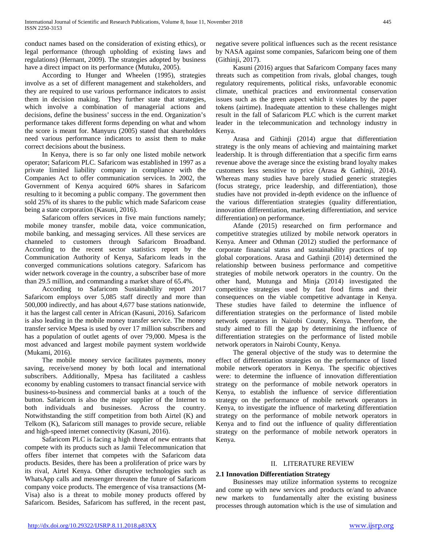conduct names based on the consideration of existing ethics), or legal performance (through upholding of existing laws and regulations) (Hernant, 2009). The strategies adopted by business have a direct impact on its performance (Mutuku, 2005).

 According to Hunger and Wheelen (1995), strategies involve as a set of different management and stakeholders, and they are required to use various performance indicators to assist them in decision making. They further state that strategies, which involve a combination of managerial actions and decisions, define the business' success in the end. Organization's performance takes different forms depending on what and whom the score is meant for. Manyuru (2005) stated that shareholders need various performance indicators to assist them to make correct decisions about the business.

 In Kenya, there is so far only one listed mobile network operator; Safaricom PLC. Safaricom was established in 1997 as a private limited liability company in compliance with the Companies Act to offer communication services. In 2002, the Government of Kenya acquired 60% shares in Safaricom resulting to it becoming a public company. The government then sold 25% of its shares to the public which made Safaricom cease being a state corporation (Kasuni, 2016).

 Safaricom offers services in five main functions namely; mobile money transfer, mobile data, voice communication, mobile banking, and messaging services. All these services are channeled to customers through Safaricom Broadband. According to the recent sector statistics report by the Communication Authority of Kenya, Safaricom leads in the converged communications solutions category. Safaricom has wider network coverage in the country, a subscriber base of more than 29.5 million, and commanding a market share of 65.4%.

 According to Safaricom Sustainability report 2017 Safaricom employs over 5,085 staff directly and more than 500,000 indirectly, and has about 4,677 base stations nationwide, it has the largest call center in African (Kasuni, 2016). Safaricom is also leading in the mobile money transfer service. The money transfer service Mpesa is used by over 17 million subscribers and has a population of outlet agents of over 79,000. Mpesa is the most advanced and largest mobile payment system worldwide (Mukami, 2016).

 The mobile money service facilitates payments, money saving, receive/send money by both local and international subscribers. Additionally, Mpesa has facilitated a cashless economy by enabling customers to transact financial service with business-to-business and commercial banks at a touch of the button. Safaricom is also the major supplier of the Internet to both individuals and businesses. Across the country. Notwithstanding the stiff competition from both Airtel (K) and Telkom (K), Safaricom still manages to provide secure, reliable and high-speed internet connectivity (Kasuni, 2016).

 Safaricom PLC is facing a high threat of new entrants that compete with its products such as Jamii Telecommunication that offers fiber internet that competes with the Safaricom data products. Besides, there has been a proliferation of price wars by its rival, Airtel Kenya. Other disruptive technologies such as WhatsApp calls and messenger threaten the future of Safaricom company voice products. The emergence of visa transactions (M-Visa) also is a threat to mobile money products offered by Safaricom. Besides, Safaricom has suffered, in the recent past, negative severe political influences such as the recent resistance by NASA against some companies, Safaricom being one of them (Githinji, 2017).

 Kasuni (2016) argues that Safaricom Company faces many threats such as competition from rivals, global changes, tough regulatory requirements, political risks, unfavorable economic climate, unethical practices and environmental conservation issues such as the green aspect which it violates by the paper tokens (airtime). Inadequate attention to these challenges might result in the fall of Safaricom PLC which is the current market leader in the telecommunication and technology industry in Kenya.

 Arasa and Githinji (2014) argue that differentiation strategy is the only means of achieving and maintaining market leadership. It is through differentiation that a specific firm earns revenue above the average since the existing brand loyalty makes customers less sensitive to price (Arasa & Gathinji, 2014). Whereas many studies have barely studied generic strategies (focus strategy, price leadership, and differentiation), those studies have not provided in-depth evidence on the influence of the various differentiation strategies (quality differentiation, innovation differentiation, marketing differentiation, and service differentiation) on performance.

 Afande (2015) researched on firm performance and competitive strategies utilized by mobile network operators in Kenya. Ameer and Othman (2012) studied the performance of corporate financial status and sustainability practices of top global corporations. Arasa and Gathinji (2014) determined the relationship between business performance and competitive strategies of mobile network operators in the country. On the other hand, Mutunga and Minja (2014) investigated the competitive strategies used by fast food firms and their consequences on the viable competitive advantage in Kenya. These studies have failed to determine the influence of differentiation strategies on the performance of listed mobile network operators in Nairobi County, Kenya. Therefore, the study aimed to fill the gap by determining the influence of differentiation strategies on the performance of listed mobile network operators in Nairobi County, Kenya.

 The general objective of the study was to determine the effect of differentiation strategies on the performance of listed mobile network operators in Kenya. The specific objectives were: to determine the influence of innovation differentiation strategy on the performance of mobile network operators in Kenya, to establish the influence of service differentiation strategy on the performance of mobile network operators in Kenya, to investigate the influence of marketing differentiation strategy on the performance of mobile network operators in Kenya and to find out the influence of quality differentiation strategy on the performance of mobile network operators in Kenya.

#### II. LITERATURE REVIEW

#### **2.1 Innovation Differentiation Strategy**

 Businesses may utilize information systems to recognize and come up with new services and products or/and to advance new markets to fundamentally alter the existing business processes through automation which is the use of simulation and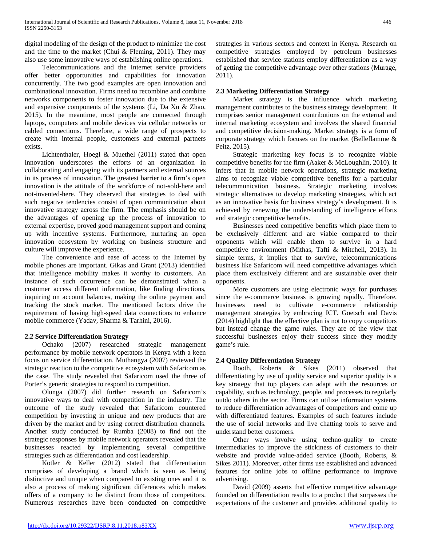digital modeling of the design of the product to minimize the cost and the time to the market (Chui & Fleming, 2011). They may also use some innovative ways of establishing online operations.

 Telecommunications and the Internet service providers offer better opportunities and capabilities for innovation concurrently. The two good examples are open innovation and combinational innovation. Firms need to recombine and combine networks components to foster innovation due to the extensive and expensive components of the systems (Li, Da Xu & Zhao, 2015). In the meantime, most people are connected through laptops, computers and mobile devices via cellular networks or cabled connections. Therefore, a wide range of prospects to create with internal people, customers and external partners exists.

 Lichtenthaler, Hoegl & Muethel (2011) stated that open innovation underscores the efforts of an organization in collaborating and engaging with its partners and external sources in its process of innovation. The greatest barrier to a firm's open innovation is the attitude of the workforce of not-sold-here and not-invented-here. They observed that strategies to deal with such negative tendencies consist of open communication about innovative strategy across the firm. The emphasis should be on the advantages of opening up the process of innovation to external expertise, proved good management support and coming up with incentive systems. Furthermore, nurturing an open innovation ecosystem by working on business structure and culture will improve the experience.

 The convenience and ease of access to the Internet by mobile phones are important. Gikas and Grant (2013) identified that intelligence mobility makes it worthy to customers. An instance of such occurrence can be demonstrated when a customer access different information, like finding directions, inquiring on account balances, making the online payment and tracking the stock market. The mentioned factors drive the requirement of having high-speed data connections to enhance mobile commerce (Yadav, Sharma & Tarhini, 2016).

#### **2.2 Service Differentiation Strategy**

 Ochako (2007) researched strategic management performance by mobile network operators in Kenya with a keen focus on service differentiation. Muthangya (2007) reviewed the strategic reaction to the competitive ecosystem with Safaricom as the case. The study revealed that Safaricom used the three of Porter's generic strategies to respond to competition.

 Olunga (2007) did further research on Safaricom's innovative ways to deal with competition in the industry. The outcome of the study revealed that Safaricom countered competition by investing in unique and new products that are driven by the market and by using correct distribution channels. Another study conducted by Rumba (2008) to find out the strategic responses by mobile network operators revealed that the businesses reacted by implementing several competitive strategies such as differentiation and cost leadership.

 Kotler & Keller (2012) stated that differentiation comprises of developing a brand which is seen as being distinctive and unique when compared to existing ones and it is also a process of making significant differences which makes offers of a company to be distinct from those of competitors. Numerous researches have been conducted on competitive strategies in various sectors and context in Kenya. Research on competitive strategies employed by petroleum businesses established that service stations employ differentiation as a way of getting the competitive advantage over other stations (Murage, 2011).

#### **2.3 Marketing Differentiation Strategy**

 Market strategy is the influence which marketing management contributes to the business strategy development. It comprises senior management contributions on the external and internal marketing ecosystem and involves the shared financial and competitive decision-making. Market strategy is a form of corporate strategy which focuses on the market (Belleflamme & Peitz, 2015).

 Strategic marketing key focus is to recognize viable competitive benefits for the firm (Aaker & McLoughlin, 2010). It infers that in mobile network operations, strategic marketing aims to recognize viable competitive benefits for a particular telecommunication business. Strategic marketing involves strategic alternatives to develop marketing strategies, which act as an innovative basis for business strategy's development. It is achieved by renewing the understanding of intelligence efforts and strategic competitive benefits.

 Businesses need competitive benefits which place them to be exclusively different and are viable compared to their opponents which will enable them to survive in a hard competitive environment (Mithas, Tafti & Mitchell, 2013). In simple terms, it implies that to survive, telecommunications business like Safaricom will need competitive advantages which place them exclusively different and are sustainable over their opponents.

 More customers are using electronic ways for purchases since the e-commerce business is growing rapidly. Therefore, businesses need to cultivate e-commerce relationship management strategies by embracing ICT. Goetsch and Davis (2014) highlight that the effective plan is not to copy competitors but instead change the game rules. They are of the view that successful businesses enjoy their success since they modify game's rule.

### **2.4 Quality Differentiation Strategy**

 Booth, Roberts & Sikes (2011) observed that differentiating by use of quality service and superior quality is a key strategy that top players can adapt with the resources or capability, such as technology, people, and processes to regularly outdo others in the sector. Firms can utilize information systems to reduce differentiation advantages of competitors and come up with differentiated features. Examples of such features include the use of social networks and live chatting tools to serve and understand better customers.

 Other ways involve using techno-quality to create intermediaries to improve the stickiness of customers to their website and provide value-added service (Booth, Roberts, & Sikes 2011). Moreover, other firms use established and advanced features for online jobs to offline performance to improve advertising.

 David (2009) asserts that effective competitive advantage founded on differentiation results to a product that surpasses the expectations of the customer and provides additional quality to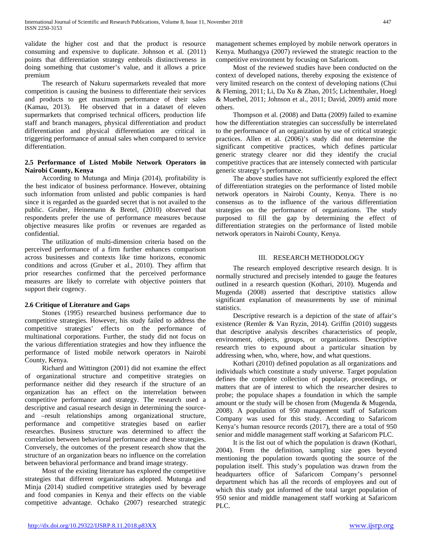validate the higher cost and that the product is resource consuming and expensive to duplicate. Johnson et al. (2011) points that differentiation strategy embroils distinctiveness in doing something that customer's value, and it allows a price premium

 The research of Nakuru supermarkets revealed that more competition is causing the business to differentiate their services and products to get maximum performance of their sales (Kamau, 2013). He observed that in a dataset of eleven supermarkets that comprised technical officers, production life staff and branch managers, physical differentiation and product differentiation and physical differentiation are critical in triggering performance of annual sales when compared to service differentiation.

#### **2.5 Performance of Listed Mobile Network Operators in Nairobi County, Kenya**

 According to Mutunga and Minja (2014), profitability is the best indicator of business performance. However, obtaining such information from unlisted and public companies is hard since it is regarded as the guarded secret that is not availed to the public. Gruber, Heinemann & Bretel, (2010) observed that respondents prefer the use of performance measures because objective measures like profits or revenues are regarded as confidential.

 The utilization of multi-dimension criteria based on the perceived performance of a firm further enhances comparison across businesses and contexts like time horizons, economic conditions and across (Gruber et al., 2010). They affirm that prior researches confirmed that the perceived performance measures are likely to correlate with objective pointers that support their cogency.

### **2.6 Critique of Literature and Gaps**

 Stones (1995) researched business performance due to competitive strategies. However, his study failed to address the competitive strategies' effects on the performance of multinational corporations. Further, the study did not focus on the various differentiation strategies and how they influence the performance of listed mobile network operators in Nairobi County, Kenya.

 Richard and Wittington (2001) did not examine the effect of organizational structure and competitive strategies on performance neither did they research if the structure of an organization has an effect on the interrelation between competitive performance and strategy. The research used a descriptive and casual research design in determining the sourceand –result relationships among organizational structure, performance and competitive strategies based on earlier researches. Business structure was determined to affect the correlation between behavioral performance and these strategies. Conversely, the outcomes of the present research show that the structure of an organization bears no influence on the correlation between behavioral performance and brand image strategy.

 Most of the existing literature has explored the competitive strategies that different organizations adopted. Mutunga and Minja (2014) studied competitive strategies used by beverage and food companies in Kenya and their effects on the viable competitive advantage. Ochako (2007) researched strategic management schemes employed by mobile network operators in Kenya. Muthangya (2007) reviewed the strategic reaction to the competitive environment by focusing on Safaricom.

 Most of the reviewed studies have been conducted on the context of developed nations, thereby exposing the existence of very limited research on the context of developing nations (Chui & Fleming, 2011; Li, Da Xu & Zhao, 2015; Lichtenthaler, Hoegl & Muethel, 2011; Johnson et al., 2011; David, 2009) amid more others.

 Thompson et al. (2008) and Datta (2009) failed to examine how the differentiation strategies can successfully be interrelated to the performance of an organization by use of critical strategic practices. Allen et al. (2006)'s study did not determine the significant competitive practices, which defines particular generic strategy clearer nor did they identify the crucial competitive practices that are intensely connected with particular generic strategy's performance.

 The above studies have not sufficiently explored the effect of differentiation strategies on the performance of listed mobile network operators in Nairobi County, Kenya. There is no consensus as to the influence of the various differentiation strategies on the performance of organizations. The study purposed to fill the gap by determining the effect of differentiation strategies on the performance of listed mobile network operators in Nairobi County, Kenya.

#### III. RESEARCH METHODOLOGY

 The research employed descriptive research design. It is normally structured and precisely intended to gauge the features outlined in a research question (Kothari, 2010). Mugenda and Mugenda (2008) asserted that descriptive statistics allow significant explanation of measurements by use of minimal statistics.

 Descriptive research is a depiction of the state of affair's existence (Remler & Van Ryzin, 2014). Griffin (2010) suggests that descriptive analysis describes characteristics of people, environment, objects, groups, or organizations. Descriptive research tries to expound about a particular situation by addressing when, who, where, how, and what questions.

 Kothari (2010) defined population as all organizations and individuals which constitute a study universe. Target population defines the complete collection of populace, proceedings, or matters that are of interest to which the researcher desires to probe; the populace shapes a foundation in which the sample amount or the study will be chosen from (Mugenda & Mugenda, 2008). A population of 950 management staff of Safaricom Company was used for this study. According to Safaricom Kenya's human resource records (2017), there are a total of 950 senior and middle management staff working at Safaricom PLC.

 It is the list out of which the population is drawn (Kothari, 2004). From the definition, sampling size goes beyond mentioning the population towards quoting the source of the population itself. This study's population was drawn from the headquarters office of Safaricom Company's personnel department which has all the records of employees and out of which this study got informed of the total target population of 950 senior and middle management staff working at Safaricom PLC.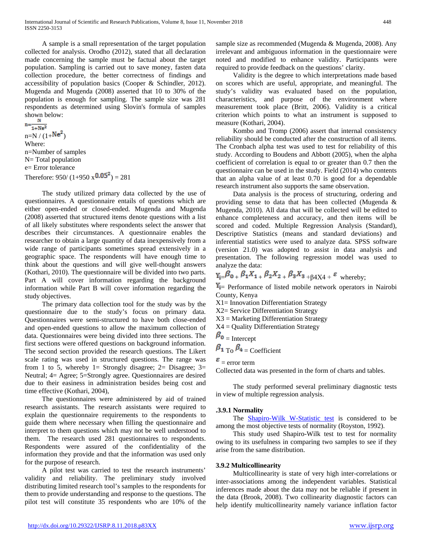A sample is a small representation of the target population collected for analysis. Orodho (2012), stated that all declaration made concerning the sample must be factual about the target population. Sampling is carried out to save money, fasten data collection procedure, the better correctness of findings and accessibility of population basics (Cooper & Schindler, 2012). Mugenda and Mugenda (2008) asserted that 10 to 30% of the population is enough for sampling. The sample size was 281 respondents as determined using Slovin's formula of samples shown below:

 $n = \frac{n}{1 + Ne^2}$  $n=N/(1+Ne^2)$ Where: n=Number of samples N= Total population e= Error tolerance Therefore:  $950/(1+950 \times 0.05^2) = 281$ 

 The study utilized primary data collected by the use of questionnaires. A questionnaire entails of questions which are either open-ended or closed-ended. Mugenda and Mugenda (2008) asserted that structured items denote questions with a list of all likely substitutes where respondents select the answer that describes their circumstances. A questionnaire enables the researcher to obtain a large quantity of data inexpensively from a wide range of participants sometimes spread extensively in a geographic space. The respondents will have enough time to think about the questions and will give well-thought answers (Kothari, 2010). The questionnaire will be divided into two parts. Part A will cover information regarding the background information while Part B will cover information regarding the study objectives.

 The primary data collection tool for the study was by the questionnaire due to the study's focus on primary data. Questionnaires were semi-structured to have both close-ended and open-ended questions to allow the maximum collection of data. Questionnaires were being divided into three sections. The first sections were offered questions on background information. The second section provided the research questions. The Likert scale rating was used in structured questions. The range was from 1 to 5, whereby 1= Strongly disagree; 2= Disagree; 3= Neutral; 4= Agree; 5=Strongly agree. Questionnaires are desired due to their easiness in administration besides being cost and time effective (Kothari, 2004),

 The questionnaires were administered by aid of trained research assistants. The research assistants were required to explain the questionnaire requirements to the respondents to guide them where necessary when filling the questionnaire and interpret to them questions which may not be well understood to them. The research used 281 questionnaires to respondents. Respondents were assured of the confidentiality of the information they provide and that the information was used only for the purpose of research.

 A pilot test was carried to test the research instruments' validity and reliability. The preliminary study involved distributing limited research tool's samples to the respondents for them to provide understanding and response to the questions. The pilot test will constitute 35 respondents who are 10% of the sample size as recommended (Mugenda & Mugenda, 2008). Any irrelevant and ambiguous information in the questionnaire were noted and modified to enhance validity. Participants were required to provide feedback on the questions' clarity.

 Validity is the degree to which interpretations made based on scores which are useful, appropriate, and meaningful. The study's validity was evaluated based on the population, characteristics, and purpose of the environment where measurement took place (Britt, 2006). Validity is a critical criterion which points to what an instrument is supposed to measure (Kothari, 2004).

 Kombo and Tromp (2006) assert that internal consistency reliability should be conducted after the construction of all items. The Cronbach alpha test was used to test for reliability of this study. According to Boudens and Abbott (2005), when the alpha coefficient of correlation is equal to or greater than 0.7 then the questionnaire can be used in the study. Field (2014) who contents that an alpha value of at least 0.70 is good for a dependable research instrument also supports the same observation.

 Data analysis is the process of structuring, ordering and providing sense to data that has been collected (Mugenda & Mugenda, 2010). All data that will be collected will be edited to enhance completeness and accuracy, and then items will be scored and coded. Multiple Regression Analysis (Standard), Descriptive Statistics (means and standard deviations) and inferential statistics were used to analyze data. SPSS software (version 21.0) was adopted to assist in data analysis and presentation. The following regression model was used to analyze the data:

## $Y_{i} = \beta_0 + \beta_1 X_{1} + \beta_2 X_{2} + \beta_3 X_{3} + \beta_4 X_{4} + \varepsilon$  whereby:

 $Y_{i=}$  Performance of listed mobile network operators in Nairobi County, Kenya

X1= Innovation Differentiation Strategy

X2= Service Differentiation Strategy

X3 = Marketing Differentiation Strategy

X4 = Quality Differentiation Strategy

$$
\beta_0 = \text{Intercept}
$$
  

$$
\beta_1 = \beta_2 = \text{Coefficient}
$$

#### $\epsilon$  = error term

Collected data was presented in the form of charts and tables.

 The study performed several preliminary diagnostic tests in view of multiple regression analysis.

#### **.3.9.1 Normality**

 The [Shapiro-Wilk W-Statistic test](http://en.wikipedia.org/wiki/Shapiro%E2%80%93Wilk_test) is considered to be among the most objective tests of normality (Royston, 1992).

 This study used Shapiro-Wilk test to test for normality owing to its usefulness in comparing two samples to see if they arise from the same distribution.

#### **3.9.2 Multicollinearity**

 Multicollinearity is state of very high inter-correlations or inter-associations among the independent variables. Statistical inferences made about the data may not be reliable if present in the data (Brook, 2008). Two collinearity diagnostic factors can help identify multicollinearity namely variance inflation factor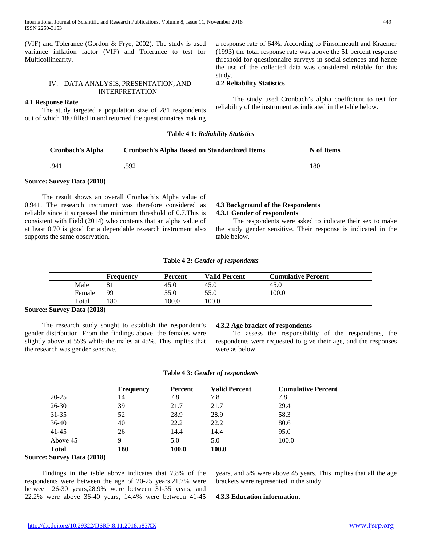(VIF) and Tolerance (Gordon & Frye, 2002). The study is used variance inflation factor (VIF) and Tolerance to test for Multicollinearity.

#### IV. DATA ANALYSIS, PRESENTATION, AND INTERPRETATION

#### **4.1 Response Rate**

 The study targeted a population size of 281 respondents out of which 180 filled in and returned the questionnaires making a response rate of 64%. According to Pinsonneault and Kraemer (1993) the total response rate was above the 51 percent response threshold for questionnaire surveys in social sciences and hence the use of the collected data was considered reliable for this study.

#### **4.2 Reliability Statistics**

 The study used Cronbach's alpha coefficient to test for reliability of the instrument as indicated in the table below.

#### **Table 4 1:** *Reliability Statistics*

| <b>Cronbach's Alpha</b> | <b>Cronbach's Alpha Based on Standardized Items</b> | N of Items |
|-------------------------|-----------------------------------------------------|------------|
| .941                    | .592                                                | 180        |

#### **Source: Survey Data (2018)**

 The result shows an overall Cronbach's Alpha value of 0.941. The research instrument was therefore considered as reliable since it surpassed the minimum threshold of 0.7.This is consistent with Field (2014) who contents that an alpha value of at least 0.70 is good for a dependable research instrument also supports the same observation.

#### **4.3 Background of the Respondents 4.3.1 Gender of respondents**

 The respondents were asked to indicate their sex to make the study gender sensitive. Their response is indicated in the table below.

|  |  |  |  | Table 4 2: Gender of respondents |
|--|--|--|--|----------------------------------|
|--|--|--|--|----------------------------------|

|        | Frequencv | Percent | <b>Valid Percent</b> | <b>Cumulative Percent</b> |
|--------|-----------|---------|----------------------|---------------------------|
| Male   |           | 45.0    | 45.0                 | 45.0                      |
| Female | QQ        | 55.0    | 55.0                 | 100.0                     |
| Total  | 80        | 100.0   | 100.0                |                           |

#### **Source: Survey Data (2018)**

 The research study sought to establish the respondent's gender distribution. From the findings above, the females were slightly above at 55% while the males at 45%. This implies that the research was gender senstive.

#### **4.3.2 Age bracket of respondents**

 To assess the responsibility of the respondents, the respondents were requested to give their age, and the responses were as below.

| Table 43: Gender of respondents |  |
|---------------------------------|--|
|---------------------------------|--|

|              | <b>Frequency</b> | <b>Percent</b> | <b>Valid Percent</b> | <b>Cumulative Percent</b> |
|--------------|------------------|----------------|----------------------|---------------------------|
| $20 - 25$    | 14               | 7.8            | 7.8                  | 7.8                       |
| 26-30        | 39               | 21.7           | 21.7                 | 29.4                      |
| $31 - 35$    | 52               | 28.9           | 28.9                 | 58.3                      |
| $36-40$      | 40               | 22.2           | 22.2                 | 80.6                      |
| $41 - 45$    | 26               | 14.4           | 14.4                 | 95.0                      |
| Above 45     | 9                | 5.0            | 5.0                  | 100.0                     |
| <b>Total</b> | 180              | 100.0          | 100.0                |                           |

#### **Source: Survey Data (2018)**

 Findings in the table above indicates that 7.8% of the respondents were between the age of 20-25 years,21.7% were between 26-30 years,28.9% were between 31-35 years, and 22.2% were above 36-40 years, 14.4% were between 41-45 years, and 5% were above 45 years. This implies that all the age brackets were represented in the study.

#### **4.3.3 Education information.**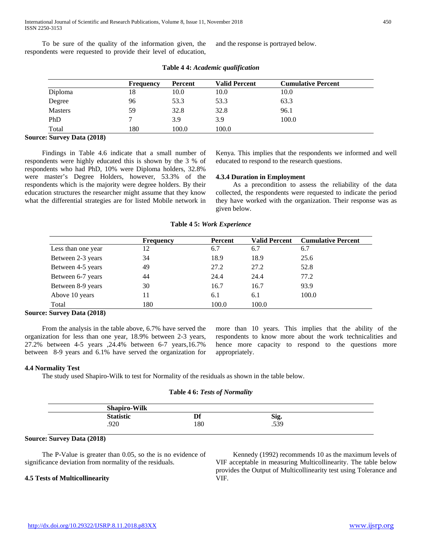To be sure of the quality of the information given, the respondents were requested to provide their level of education, and the response is portrayed below.

|                | <b>Frequency</b> | Percent | <b>Valid Percent</b> | <b>Cumulative Percent</b> |
|----------------|------------------|---------|----------------------|---------------------------|
| Diploma        | 18               | 10.0    | 10.0                 | 10.0                      |
| Degree         | 96               | 53.3    | 53.3                 | 63.3                      |
| <b>Masters</b> | 59               | 32.8    | 32.8                 | 96.1                      |
| PhD            |                  | 3.9     | 3.9                  | 100.0                     |
| Total          | 180              | 100.0   | 100.0                |                           |

#### **Table 4 4:** *Academic qualification*

#### **Source: Survey Data (2018)**

 Findings in Table 4.6 indicate that a small number of respondents were highly educated this is shown by the 3 % of respondents who had PhD, 10% were Diploma holders, 32.8% were master's Degree Holders, however, 53.3% of the respondents which is the majority were degree holders. By their education structures the researcher might assume that they know what the differential strategies are for listed Mobile network in Kenya. This implies that the respondents we informed and well educated to respond to the research questions.

#### **4.3.4 Duration in Employment**

 As a precondition to assess the reliability of the data collected, the respondents were requested to indicate the period they have worked with the organization. Their response was as given below.

|                    | <b>Frequency</b> | <b>Percent</b> | <b>Valid Percent</b> | <b>Cumulative Percent</b> |
|--------------------|------------------|----------------|----------------------|---------------------------|
| Less than one year | 12               | 6.7            | 6.7                  | 6.7                       |
| Between 2-3 years  | 34               | 18.9           | 18.9                 | 25.6                      |
| Between 4-5 years  | 49               | 27.2           | 27.2                 | 52.8                      |
| Between 6-7 years  | 44               | 24.4           | 24.4                 | 77.2                      |
| Between 8-9 years  | 30               | 16.7           | 16.7                 | 93.9                      |
| Above 10 years     | 11               | 6.1            | 6.1                  | 100.0                     |
| Total              | 180              | 100.0          | 100.0                |                           |

**Table 4 5:** *Work Experience*

#### **Source: Survey Data (2018)**

 From the analysis in the table above, 6.7% have served the organization for less than one year, 18.9% between 2-3 years, 27.2% between 4-5 years ,24.4% between 6-7 years,16.7% between 8-9 years and 6.1% have served the organization for more than 10 years. This implies that the ability of the respondents to know more about the work technicalities and hence more capacity to respond to the questions more appropriately.

#### **4.4 Normality Test**

The study used Shapiro-Wilk to test for Normality of the residuals as shown in the table below.

#### **Table 4 6:** *Tests of Normality*

| <b>Shapiro-Wilk</b> |     |      |  |
|---------------------|-----|------|--|
| <b>Statistic</b>    | Df  | Sig. |  |
| റാറ<br>∙7∠U         | 180 | .539 |  |

#### **Source: Survey Data (2018)**

 The P-Value is greater than 0.05, so the is no evidence of significance deviation from normality of the residuals.

#### **4.5 Tests of Multicollinearity**

 Kennedy (1992) recommends 10 as the maximum levels of VIF acceptable in measuring Multicollinearity. The table below provides the Output of Multicollinearity test using Tolerance and VIF.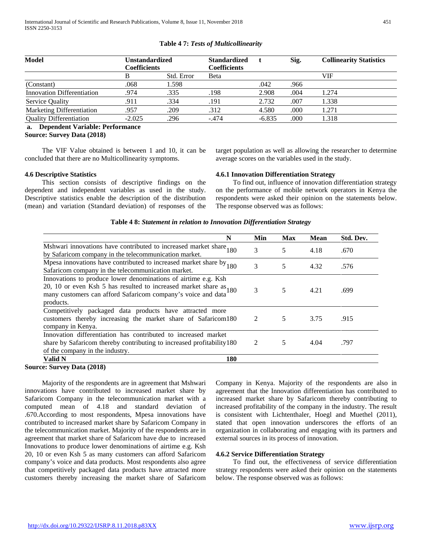| <b>Model</b>                      | Unstandardized<br><b>Coefficients</b> |            | <b>Standardized</b><br><b>Coefficients</b> |          | <b>Collinearity Statistics</b><br>Sig. |       |
|-----------------------------------|---------------------------------------|------------|--------------------------------------------|----------|----------------------------------------|-------|
|                                   | В                                     | Std. Error | Beta                                       |          |                                        | VIF   |
| (Constant)                        | .068                                  | 1.598      |                                            | .042     | .966                                   |       |
| <b>Innovation Differentiation</b> | .974                                  | .335       | .198                                       | 2.908    | .004                                   | 1.274 |
| <b>Service Quality</b>            | .911                                  | .334       | .191                                       | 2.732    | .007                                   | 1.338 |
| Marketing Differentiation         | .957                                  | .209       | .312                                       | 4.580    | .000                                   | 1.271 |
| <b>Quality Differentiation</b>    | $-2.025$                              | .296       | $-.474$                                    | $-6.835$ | .000                                   | 1.318 |

#### **Table 4 7:** *Tests of Multicollinearity*

#### **a. Dependent Variable: Performance Source: Survey Data (2018)**

 The VIF Value obtained is between 1 and 10, it can be concluded that there are no Multicollinearity symptoms.

#### **4.6 Descriptive Statistics**

 This section consists of descriptive findings on the dependent and independent variables as used in the study. Descriptive statistics enable the description of the distribution (mean) and variation (Standard deviation) of responses of the target population as well as allowing the researcher to determine average scores on the variables used in the study.

#### **4.6.1 Innovation Differentiation Strategy**

 To find out, influence of innovation differentiation strategy on the performance of mobile network operators in Kenya the respondents were asked their opinion on the statements below. The response observed was as follows:

#### **Table 4 8:** *Statement in relation to Innovation Differentiation Strategy*

| N                                                                                                                                                                                                                   | Min            | <b>Max</b> | <b>Mean</b> | Std. Dev. |
|---------------------------------------------------------------------------------------------------------------------------------------------------------------------------------------------------------------------|----------------|------------|-------------|-----------|
| Mshwari innovations have contributed to increased market share 180<br>by Safaricom company in the telecommunication market.                                                                                         | 3              | 5          | 4.18        | .670      |
| Mpesa innovations have contributed to increased market share by $_{180}$<br>Safaricom company in the telecommunication market.                                                                                      | 3              | 5          | 4.32        | .576      |
| Innovations to produce lower denominations of airtime e.g. Ksh<br>20, 10 or even Ksh 5 has resulted to increased market share as $180$<br>many customers can afford Safaricom company's voice and data<br>products. | 3              | 5          | 4.21        | .699      |
| Competitively packaged data products have attracted more<br>customers thereby increasing the market share of Safaricom180<br>company in Kenya.                                                                      | $\mathfrak{D}$ | 5          | 3.75        | .915      |
| Innovation differentiation has contributed to increased market<br>share by Safaricom thereby contributing to increased profitability 180<br>of the company in the industry.                                         | 2              | 5          | 4.04        | .797      |
| Valid N<br>180                                                                                                                                                                                                      |                |            |             |           |

#### **Source: Survey Data (2018)**

 Majority of the respondents are in agreement that Mshwari innovations have contributed to increased market share by Safaricom Company in the telecommunication market with a computed mean of 4.18 and standard deviation of .670.According to most respondents, Mpesa innovations have contributed to increased market share by Safaricom Company in the telecommunication market. Majority of the respondents are in agreement that market share of Safaricom have due to increased Innovations to produce lower denominations of airtime e.g. Ksh 20, 10 or even Ksh 5 as many customers can afford Safaricom company's voice and data products. Most respondents also agree that competitively packaged data products have attracted more customers thereby increasing the market share of Safaricom

Company in Kenya. Majority of the respondents are also in agreement that the Innovation differentiation has contributed to increased market share by Safaricom thereby contributing to increased profitability of the company in the industry. The result is consistent with Lichtenthaler, Hoegl and Muethel (2011), stated that open innovation underscores the efforts of an organization in collaborating and engaging with its partners and external sources in its process of innovation.

#### **4.6.2 Service Differentiation Strategy**

 To find out, the effectiveness of service differentiation strategy respondents were asked their opinion on the statements below. The response observed was as follows: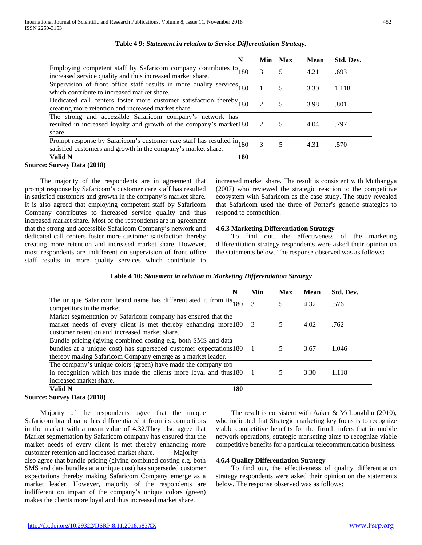| N                                                                                                                                          | Min                         | <b>Max</b> | <b>Mean</b> | Std. Dev. |
|--------------------------------------------------------------------------------------------------------------------------------------------|-----------------------------|------------|-------------|-----------|
| Employing competent staff by Safaricom company contributes to 180 increased service quality and thus increased market share.               | 3                           | 5          | 4.21        | .693      |
| Supervision of front office staff results in more quality services $180$<br>which contribute to increased market share.                    |                             | 5          | 3.30        | 1.118     |
| Dedicated call centers foster more customer satisfaction thereby <sub>180</sub><br>creating more retention and increased market share.     | $\mathcal{D}_{\mathcal{L}}$ | 5          | 3.98        | .801      |
| The strong and accessible Safaricom company's network has<br>resulted in increased loyalty and growth of the company's market180<br>share. | $\mathcal{L}$               | 5          | 4.04        | .797      |
| Prompt response by Safaricom's customer care staff has resulted in 180 satisfied customers and growth in the company's market share.       | 3                           | 5          | 4.31        | .570      |
| <b>180</b><br><b>Valid N</b>                                                                                                               |                             |            |             |           |
| $C_{\text{Higgs}}$ Dota (2019)                                                                                                             |                             |            |             |           |

#### **Table 4 9:** *Statement in relation to Service Differentiation Strategy.*

**Source: Survey Data (2018)**

 The majority of the respondents are in agreement that prompt response by Safaricom's customer care staff has resulted in satisfied customers and growth in the company's market share. It is also agreed that employing competent staff by Safaricom Company contributes to increased service quality and thus increased market share. Most of the respondents are in agreement that the strong and accessible Safaricom Company's network and dedicated call centers foster more customer satisfaction thereby creating more retention and increased market share. However, most respondents are indifferent on supervision of front office staff results in more quality services which contribute to

increased market share. The result is consistent with Muthangya (2007) who reviewed the strategic reaction to the competitive ecosystem with Safaricom as the case study. The study revealed that Safaricom used the three of Porter's generic strategies to respond to competition.

#### **4.6.3 Marketing Differentiation Strategy**

 To find out, the effectiveness of the marketing differentiation strategy respondents were asked their opinion on the statements below. The response observed was as follows**:**

|  |  | Table 4 10: Statement in relation to Marketing Differentiation Strategy |  |
|--|--|-------------------------------------------------------------------------|--|
|  |  |                                                                         |  |

| N                                                                                                                                                                                                     | Min | <b>Max</b> | <b>Mean</b> | Std. Dev. |
|-------------------------------------------------------------------------------------------------------------------------------------------------------------------------------------------------------|-----|------------|-------------|-----------|
| The unique Safaricom brand name has differentiated it from its <sub>180</sub><br>competitors in the market.                                                                                           | 3   | 5          | 4.32        | .576      |
| Market segmentation by Safaricom company has ensured that the<br>market needs of every client is met thereby enhancing more 180 3<br>customer retention and increased market share.                   |     | 5          | 4.02        | .762      |
| Bundle pricing (giving combined costing e.g. both SMS and data<br>bundles at a unique cost) has superseded customer expectations 180 1<br>thereby making Safaricom Company emerge as a market leader. |     |            | 3.67        | 1.046     |
| The company's unique colors (green) have made the company top<br>in recognition which has made the clients more loyal and thus180 1<br>increased market share.                                        |     |            | 3.30        | 1.118     |
| Valid N<br>180                                                                                                                                                                                        |     |            |             |           |

#### **Source: Survey Data (2018)**

 Majority of the respondents agree that the unique Safaricom brand name has differentiated it from its competitors in the market with a mean value of 4.32.They also agree that Market segmentation by Safaricom company has ensured that the market needs of every client is met thereby enhancing more customer retention and increased market share. Majority also agree that bundle pricing (giving combined costing e.g. both SMS and data bundles at a unique cost) has superseded customer expectations thereby making Safaricom Company emerge as a market leader. However, majority of the respondents are indifferent on impact of the company's unique colors (green) makes the clients more loyal and thus increased market share.

 The result is consistent with Aaker & McLoughlin (2010), who indicated that Strategic marketing key focus is to recognize viable competitive benefits for the firm.It infers that in mobile network operations, strategic marketing aims to recognize viable competitive benefits for a particular telecommunication business.

#### **4.6.4 Quality Differentiation Strategy**

 To find out, the effectiveness of quality differentiation strategy respondents were asked their opinion on the statements below. The response observed was as follows: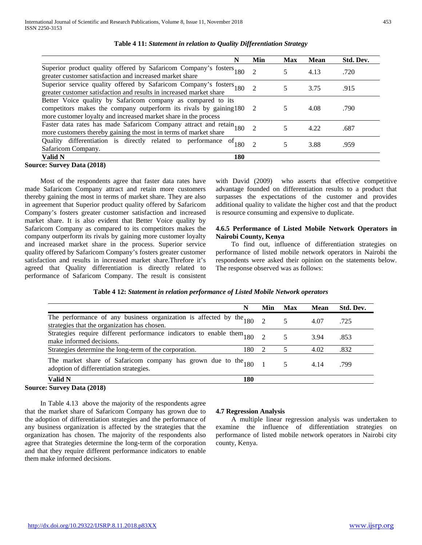| N                                                                                                                                                                                                     | Min                         | Max | Mean | Std. Dev. |
|-------------------------------------------------------------------------------------------------------------------------------------------------------------------------------------------------------|-----------------------------|-----|------|-----------|
| Superior product quality offered by Safaricom Company's fosters 180 greater customer satisfaction and increased market share                                                                          | $\mathcal{D}_{\mathcal{A}}$ | 5   | 4.13 | .720      |
| Superior service quality offered by Safaricom Company's fosters 180 greater customer satisfaction and results in increased market share                                                               |                             |     | 3.75 | .915      |
| Better Voice quality by Safaricom company as compared to its<br>competitors makes the company outperform its rivals by gaining 180<br>more customer loyalty and increased market share in the process | -2                          |     | 4.08 | .790      |
| Faster data rates has made Safaricom Company attract and retain 180<br>more customers thereby gaining the most in terms of market share                                                               |                             |     | 4.22 | .687      |
| Quality differentiation is directly related to performance of $_{180}$<br>Safaricom Company.                                                                                                          | $\mathcal{D}$               |     | 3.88 | .959      |
| 180<br>Valid N                                                                                                                                                                                        |                             |     |      |           |

#### **Table 4 11:** *Statement in relation to Quality Differentiation Strategy*

 Most of the respondents agree that faster data rates have made Safaricom Company attract and retain more customers thereby gaining the most in terms of market share. They are also in agreement that Superior product quality offered by Safaricom Company's fosters greater customer satisfaction and increased market share. It is also evident that Better Voice quality by Safaricom Company as compared to its competitors makes the company outperform its rivals by gaining more customer loyalty and increased market share in the process. Superior service quality offered by Safaricom Company's fosters greater customer satisfaction and results in increased market share.Threfore it's agreed that Quality differentiation is directly related to

performance of Safaricom Company. The result is consistent

with David (2009) who asserts that effective competitive advantage founded on differentiation results to a product that surpasses the expectations of the customer and provides additional quality to validate the higher cost and that the product is resource consuming and expensive to duplicate.

#### **4.6.5 Performance of Listed Mobile Network Operators in Nairobi County, Kenya**

 To find out, influence of differentiation strategies on performance of listed mobile network operators in Nairobi the respondents were asked their opinion on the statements below. The response observed was as follows:

| N                                                                                                                        | Min      | <b>Max</b> | <b>Mean</b> | Std. Dev. |
|--------------------------------------------------------------------------------------------------------------------------|----------|------------|-------------|-----------|
| The performance of any business organization is affected by the $_{180}$<br>strategies that the organization has chosen. |          |            | 4.07        | .725      |
| Strategies require different performance indicators to enable them $_{180}$<br>make informed decisions.                  | $\gamma$ |            | 3.94        | .853      |
| Strategies determine the long-term of the corporation.<br>180                                                            | 2        |            | 4.02        | .832      |
| The market share of Safaricom company has grown due to the $_{180}$<br>adoption of differentiation strategies.           |          |            | 4.14        | .799      |
| Valid N<br>180                                                                                                           |          |            |             |           |

#### **Table 4 12:** *Statement in relation performance of Listed Mobile Network operators*

#### **Source: Survey Data (2018)**

 In Table 4.13 above the majority of the respondents agree that the market share of Safaricom Company has grown due to the adoption of differentiation strategies and the performance of any business organization is affected by the strategies that the organization has chosen. The majority of the respondents also agree that Strategies determine the long-term of the corporation and that they require different performance indicators to enable them make informed decisions.

#### **4.7 Regression Analysis**

 A multiple linear regression analysis was undertaken to examine the influence of differentiation strategies on performance of listed mobile network operators in Nairobi city county, Kenya.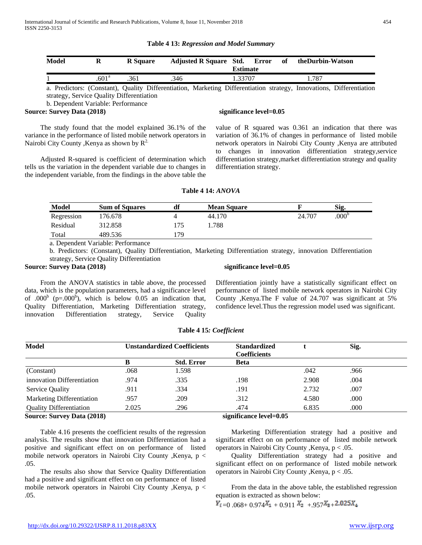| <b>Table 4 13: Regression and Model Summary</b> |  |  |  |
|-------------------------------------------------|--|--|--|
|-------------------------------------------------|--|--|--|

| Model | R                 | <b>R</b> Square |                                                                                                                      | <b>Adjusted R Square Std. Error</b><br><b>Estimate</b> |  | of<br>theDurbin-Watson |       |  |
|-------|-------------------|-----------------|----------------------------------------------------------------------------------------------------------------------|--------------------------------------------------------|--|------------------------|-------|--|
|       | .601 <sup>a</sup> | .361            | .346                                                                                                                 | 1.33707                                                |  |                        | 1.787 |  |
|       |                   |                 | a. Predictors: (Constant), Quality Differentiation, Marketing Differentiation strategy, Innovations, Differentiation |                                                        |  |                        |       |  |

strategy, Service Quality Differentiation

b. Dependent Variable: Performance

#### **Source: Survey Data (2018)** Significance level=0.05

 The study found that the model explained 36.1% of the variance in the performance of listed mobile network operators in Nairobi City County , Kenya as shown by  $R^2$ .

 Adjusted R-squared is coefficient of determination which tells us the variation in the dependent variable due to changes in the independent variable, from the findings in the above table the

value of R squared was 0.361 an indication that there was variation of 36.1% of changes in performance of listed mobile network operators in Nairobi City County ,Kenya are attributed to changes in innovation differentiation strategy,service differentiation strategy,market differentiation strategy and quality differentiation strategy.

#### **Table 4 14:** *ANOVA*

| <b>Model</b> | <b>Sum of Squares</b> | df  | <b>Mean Square</b> |        | Sig.              |
|--------------|-----------------------|-----|--------------------|--------|-------------------|
| Regression   | 176.678               |     | 44.170             | 24.707 | .000 <sup>b</sup> |
| Residual     | 312.858               | .75 | .788               |        |                   |
| Total        | 489.536               | 79  |                    |        |                   |

a. Dependent Variable: Performance

b. Predictors: (Constant), Quality Differentiation, Marketing Differentiation strategy, innovation Differentiation strategy, Service Quality Differentiation

#### **Source: Survey Data (2018)** Significance level=0.05

 From the ANOVA statistics in table above, the processed data, which is the population parameters, had a significance level of .000<sup>b</sup> (p=.000<sup>b</sup>), which is below 0.05 an indication that, Quality Differentiation, Marketing Differentiation strategy, innovation Differentiation strategy, Service Quality

Differentiation jointly have a statistically significant effect on performance of listed mobile network operators in Nairobi City County ,Kenya.The F value of 24.707 was significant at 5% confidence level.Thus the regression model used was significant.

| <b>Model</b>                      | <b>Unstandardized Coefficients</b> |                   | <b>Standardized</b><br><b>Coefficients</b> |       | Sig. |  |
|-----------------------------------|------------------------------------|-------------------|--------------------------------------------|-------|------|--|
|                                   | В                                  | <b>Std. Error</b> | <b>Beta</b>                                |       |      |  |
| (Constant)                        | .068                               | 1.598             |                                            | .042  | .966 |  |
| innovation Differentiation        | .974                               | .335              | .198                                       | 2.908 | .004 |  |
| <b>Service Quality</b>            | .911                               | .334              | .191                                       | 2.732 | .007 |  |
| Marketing Differentiation         | .957                               | .209              | .312                                       | 4.580 | .000 |  |
| <b>Quality Differentiation</b>    | 2.025                              | .296              | .474                                       | 6.835 | .000 |  |
| <b>Source: Survey Data (2018)</b> | significance level=0.05            |                   |                                            |       |      |  |

#### **Table 4 15***: Coefficient*

 Table 4.16 presents the coefficient results of the regression analysis. The results show that innovation Differentiation had a positive and significant effect on on performance of listed mobile network operators in Nairobi City County ,Kenya, p < .05.

 The results also show that Service Quality Differentiation had a positive and significant effect on on performance of listed mobile network operators in Nairobi City County ,Kenya, p < .05.

 Marketing Differentiation strategy had a positive and significant effect on on performance of listed mobile network operators in Nairobi City County ,Kenya, p < .05.

 Quality Differentiation strategy had a positive and significant effect on on performance of listed mobile network operators in Nairobi City County ,Kenya, p < .05.

 From the data in the above table, the established regression equation is extracted as shown below:

 $Y_{i=0}$  .068+ 0.974 $X_{1}$  + 0.911  $X_{2}$  + 957 $X_{3}$ + 2.025 $X_{4}$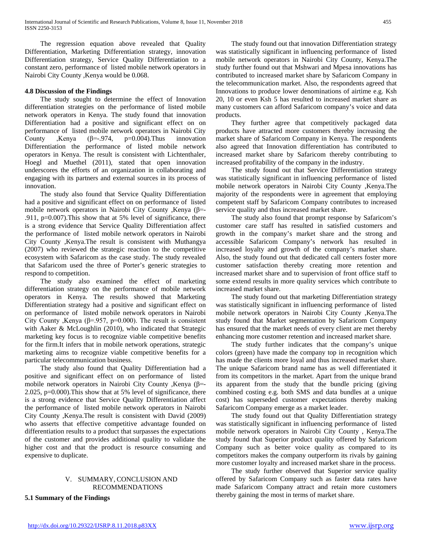The regression equation above revealed that Quality Differentiation, Marketing Differentiation strategy, innovation Differentiation strategy, Service Quality Differentiation to a constant zero, performance of listed mobile network operators in Nairobi City County ,Kenya would be 0.068.

#### **4.8 Discussion of the Findings**

 The study sought to determine the effect of Innovation differentiation strategies on the performance of listed mobile network operators in Kenya. The study found that innovation Differentiation had a positive and significant effect on on performance of listed mobile network operators in Nairobi City County ,Kenya  $(\beta = .974, p = 0.004)$ .Thus innovation Differentiation the performance of listed mobile network operators in Kenya. The result is consistent with Lichtenthaler, Hoegl and Muethel (2011), stated that open innovation underscores the efforts of an organization in collaborating and engaging with its partners and external sources in its process of innovation.

 The study also found that Service Quality Differentiation had a positive and significant effect on on performance of listed mobile network operators in Nairobi City County ,Kenya (β=- .911, p=0.007).This show that at 5% level of significance, there is a strong evidence that Service Quality Differentiation affect the performance of listed mobile network operators in Nairobi City County ,Kenya.The result is consistent with Muthangya (2007) who reviewed the strategic reaction to the competitive ecosystem with Safaricom as the case study. The study revealed that Safaricom used the three of Porter's generic strategies to respond to competition.

 The study also examined the effect of marketing differentiation strategy on the performance of mobile network operators in Kenya. The results showed that Marketing Differentiation strategy had a positive and significant effect on on performance of listed mobile network operators in Nairobi City County , Kenya ( $\beta$ =.957, p=0.000). The result is consistent with Aaker & McLoughlin (2010), who indicated that Strategic marketing key focus is to recognize viable competitive benefits for the firm.It infers that in mobile network operations, strategic marketing aims to recognize viable competitive benefits for a particular telecommunication business.

 The study also found that Quality Differentiation had a positive and significant effect on on performance of listed mobile network operators in Nairobi City County ,Kenya (β=- 2.025, p=0.000).This show that at 5% level of significance, there is a strong evidence that Service Quality Differentiation affect the performance of listed mobile network operators in Nairobi City County ,Kenya.The result is consistent with David (2009) who asserts that effective competitive advantage founded on differentiation results to a product that surpasses the expectations of the customer and provides additional quality to validate the higher cost and that the product is resource consuming and expensive to duplicate.

#### V. SUMMARY, CONCLUSION AND RECOMMENDATIONS

**5.1 Summary of the Findings**

 The study found out that innovation Differentiation strategy was statistically significant in influencing performance of listed mobile network operators in Nairobi City County, Kenya.The study further found out that Mshwari and Mpesa innovations has contributed to increased market share by Safaricom Company in the telecommunication market. Also, the respondents agreed that Innovations to produce lower denominations of airtime e.g. Ksh 20, 10 or even Ksh 5 has resulted to increased market share as many customers can afford Safaricom company's voice and data products.

 They further agree that competitively packaged data products have attracted more customers thereby increasing the market share of Safaricom Company in Kenya. The respondents also agreed that Innovation differentiation has contributed to increased market share by Safaricom thereby contributing to increased profitability of the company in the industry.

 The study found out that Service Differentiation strategy was statistically significant in influencing performance of listed mobile network operators in Nairobi City County ,Kenya.The majority of the respondents were in agreement that employing competent staff by Safaricom Company contributes to increased service quality and thus increased market share.

 The study also found that prompt response by Safaricom's customer care staff has resulted in satisfied customers and growth in the company's market share and the strong and accessible Safaricom Company's network has resulted in increased loyalty and growth of the company's market share. Also, the study found out that dedicated call centers foster more customer satisfaction thereby creating more retention and increased market share and to supervision of front office staff to some extend results in more quality services which contribute to increased market share.

 The study found out that marketing Differentiation strategy was statistically significant in influencing performance of listed mobile network operators in Nairobi City County ,Kenya.The study found that Market segmentation by Safaricom Company has ensured that the market needs of every client are met thereby enhancing more customer retention and increased market share.

 The study further indicates that the company's unique colors (green) have made the company top in recognition which has made the clients more loyal and thus increased market share. The unique Safaricom brand name has as well differentiated it from its competitors in the market. Apart from the unique brand its apparent from the study that the bundle pricing (giving combined costing e.g. both SMS and data bundles at a unique cost) has superseded customer expectations thereby making Safaricom Company emerge as a market leader.

 The study found out that Quality Differentiation strategy was statistically significant in influencing performance of listed mobile network operators in Nairobi City County , Kenya.The study found that Superior product quality offered by Safaricom Company such as better voice quality as compared to its competitors makes the company outperform its rivals by gaining more customer loyalty and increased market share in the process.

 The study further observed that Superior service quality offered by Safaricom Company such as faster data rates have made Safaricom Company attract and retain more customers thereby gaining the most in terms of market share.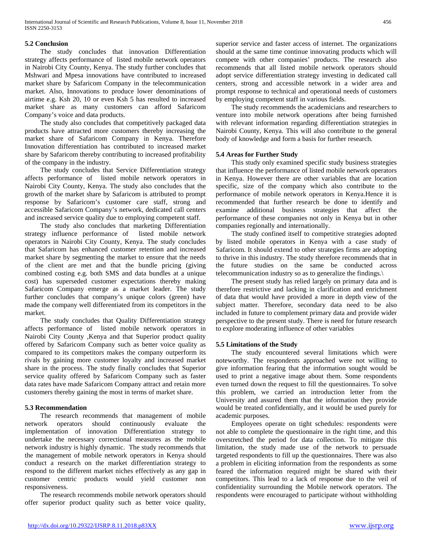#### **5.2 Conclusion**

 The study concludes that innovation Differentiation strategy affects performance of listed mobile network operators in Nairobi City County, Kenya. The study further concludes that Mshwari and Mpesa innovations have contributed to increased market share by Safaricom Company in the telecommunication market. Also, Innovations to produce lower denominations of airtime e.g. Ksh 20, 10 or even Ksh 5 has resulted to increased market share as many customers can afford Safaricom Company's voice and data products.

 The study also concludes that competitively packaged data products have attracted more customers thereby increasing the market share of Safaricom Company in Kenya. Therefore Innovation differentiation has contributed to increased market share by Safaricom thereby contributing to increased profitability of the company in the industry.

 The study concludes that Service Differentiation strategy affects performance of listed mobile network operators in Nairobi City County, Kenya. The study also concludes that the growth of the market share by Safaricom is attributed to prompt response by Safaricom's customer care staff, strong and accessible Safaricom Company's network, dedicated call centers and increased service quality due to employing competent staff.

 The study also concludes that marketing Differentiation strategy influence performance of listed mobile network operators in Nairobi City County, Kenya. The study concludes that Safaricom has enhanced customer retention and increased market share by segmenting the market to ensure that the needs of the client are met and that the bundle pricing (giving combined costing e.g. both SMS and data bundles at a unique cost) has superseded customer expectations thereby making Safaricom Company emerge as a market leader. The study further concludes that company's unique colors (green) have made the company well differentiated from its competitors in the market.

 The study concludes that Quality Differentiation strategy affects performance of listed mobile network operators in Nairobi City County ,Kenya and that Superior product quality offered by Safaricom Company such as better voice quality as compared to its competitors makes the company outperform its rivals by gaining more customer loyalty and increased market share in the process. The study finally concludes that Superior service quality offered by Safaricom Company such as faster data rates have made Safaricom Company attract and retain more customers thereby gaining the most in terms of market share.

#### **5.3 Recommendation**

 The research recommends that management of mobile network operators should continuously evaluate the implementation of innovation Differentiation strategy to undertake the necessary correctional measures as the mobile network industry is highly dynamic. The study recommends that the management of mobile network operators in Kenya should conduct a research on the market differentiation strategy to respond to the different market niches effectively as any gap in customer centric products would yield customer non responsiveness.

 The research recommends mobile network operators should offer superior product quality such as better voice quality, superior service and faster access of internet. The organizations should at the same time continue innovating products which will compete with other companies' products. The research also recommends that all listed mobile network operators should adopt service differentiation strategy investing in dedicated call centers, strong and accessible network in a wider area and prompt response to technical and operational needs of customers by employing competent staff in various fields.

 The study recommends the academicians and researchers to venture into mobile network operations after being furnished with relevant information regarding differentiation strategies in Nairobi County, Kenya. This will also contribute to the general body of knowledge and form a basis for further research.

#### **5.4 Areas for Further Study**

 This study only examined specific study business strategies that influence the performance of listed mobile network operators in Kenya. However there are other variables that are location specific, size of the company which also contribute to the performance of mobile network operators in Kenya.Hence it is recommended that further research be done to identify and examine additional business strategies that affect the performance of these companies not only in Kenya but in other companies regionally and internationally.

 The study confined itself to competitive strategies adopted by listed mobile operators in Kenya with a case study of Safaricom. It should extend to other strategies firms are adopting to thrive in this industry. The study therefore recommends that in the future studies on the same be conducted across telecommunication industry so as to generalize the findings.\

 The present study has relied largely on primary data and is therefore restrictive and lacking in clarification and enrichment of data that would have provided a more in depth view of the subject matter. Therefore, secondary data need to be also included in future to complement primary data and provide wider perspective to the present study. There is need for future research to explore moderating influence of other variables

#### **5.5 Limitations of the Study**

 The study encountered several limitations which were noteworthy. The respondents approached were not willing to give information fearing that the information sought would be used to print a negative image about them. Some respondents even turned down the request to fill the questionnaires. To solve this problem, we carried an introduction letter from the University and assured them that the information they provide would be treated confidentially, and it would be used purely for academic purposes.

 Employees operate on tight schedules: respondents were not able to complete the questionnaire in the right time, and this overstretched the period for data collection. To mitigate this limitation, the study made use of the network to persuade targeted respondents to fill up the questionnaires. There was also a problem in eliciting information from the respondents as some feared the information required might be shared with their competitors. This lead to a lack of response due to the veil of confidentiality surrounding the Mobile network operators. The respondents were encouraged to participate without withholding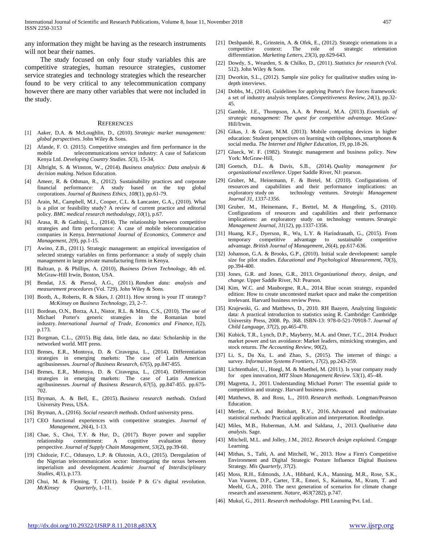any information they might be having as the research instruments will not bear their names.

 The study focused on only four study variables this are competitive strategies, human resource strategies, customer service strategies and technology strategies which the researcher found to be very critical to any telecommunication company however there are many other variables that were not included in the study.

#### **REFERENCES**

- [1] Aaker, D.A. & McLoughlin, D., (2010). *Strategic market management: global perspectives*. John Wiley & Sons.
- [2] Afande, F. O. (2015). Competitive strategies and firm performance in the mobile telecommunications service industry: A case of Safaricom Kenya Ltd. *Developing Country Studies. 5*(3), 15-34.
- [3] Albright, S. & Winston, W., (2014). *Business analytics: Data analysis & decision making*. Nelson Education.
- [4] Ameer, R. & Othman, R., (2012). Sustainability practices and corporate financial performance: A study based on the top global corporations. *Journal of Business Ethics*, *108*(1), pp.61-79.
- [5] Arain, M., Campbell, M.J., Cooper, C.L. & Lancaster, G.A., (2010). What is a pilot or feasibility study? A review of current practice and editorial policy. *BMC medical research methodology*, *10*(1), p.67.
- [6] Arasa, R. & Gathinji, L., (2014). The relationship between competitive strategies and firm performance: A case of mobile telecommunication companies in Kenya. *International Journal of Economics, Commerce and Management*, *2*(9), pp.1-15.
- [7] Awino, Z.B., (2011). Strategic management: an empirical investigation of selected strategy variables on firms performance: a study of supply chain management in large private manufacturing firms in Kenya.
- [8] Baltzan, p. & Phillips, A. (2010), *Business Driven Technology*, 4th ed. McGraw-Hill Irwin, Boston, USA.
- [9] Bendat, J.S. & Piersol, A.G., (2011). *Random data: analysis and measurement procedures* (Vol. 729). John Wiley & Sons.
- [10] Booth, A., Roberts, R. & Sikes, J. (2011). How strong is your IT strategy? *McKinsey on Business Technology*, 23, 2–7.
- [11] Bordean, O.N., Borza, A.I., Nistor, R.L. & Mitra, C.S., (2010). The use of Michael Porter's generic strategies in the Romanian hotel industry. *International Journal of Trade, Economics and Finance*, *1*(2), p.173.
- [12] Borgman, C.L., (2015). Big data, little data, no data: Scholarship in the networked world. MIT press.
- [13] Brenes, E.R., Montoya, D. & Ciravegna, L., (2014). Differentiation strategies in emerging markets: The case of Latin American agribusinesses. *Journal of Business Research*, *67*(5), pp.847-855.
- [14] Brenes, E.R., Montoya, D. & Ciravegna, L., (2014). Differentiation strategies in emerging markets: The case of Latin American agribusinesses. *Journal of Business Research*, *67*(5), pp.847-855. pp.675- 702.
- [15] Bryman, A. & Bell, E., (2015). *Business research methods*. Oxford University Press, USA.
- [16] Bryman, A., (2016). *Social research methods*. Oxford university press.
- [17] CEO functional experiences with competitive strategies. *Journal of Management, 26*(4), 1-13.
- [18] Chae, S., Choi, T.Y. & Hur, D., (2017). Buyer power and supplier relationship commitment: A cognitive evaluation theory perspective. *Journal of Supply Chain Management*, *53*(2), pp.39-60.
- [19] Chidozie, F.C., Odunayo, L.P. & Olutosin, A.O., (2015). Deregulation of the Nigerian telecommunication sector: Interrogating the nexus between imperialism and development. *Academic Journal of Interdisciplinary Studies*, *4*(1), p.173.
- [20] Chui, M. & Fleming, T. (2011). Inside P & G's digital revolution. *McKinsey Quarterly*, 1–11.
- [21] Deshpandé, R., Grinstein, A. & Ofek, E., (2012). Strategic orientations in a competitive context: The role of strategic orientation differentiation. *Marketing Letters*, *23*(3), pp.629-643.
- [22] Dowdy, S., Wearden, S. & Chilko, D., (2011). *Statistics for research* (Vol. 512). John Wiley & Sons.
- [23] Dworkin, S.L., (2012). Sample size policy for qualitative studies using indepth interviews.
- [24] Dobbs, M., (2014). Guidelines for applying Porter's five forces framework: a set of industry analysis templates. *Competitiveness Review*, *24*(1), pp.32- 45.
- [25] Gamble, J.E., Thompson, A.A. & Peteraf, M.A. (2013). *Essentials of strategic management: The quest for competitive advantage*. McGraw-Hill/Irwin.
- [26] Gikas, J. & Grant, M.M. (2013). Mobile computing devices in higher education: Student perspectives on learning with cellphones, smartphones & social media. *The Internet and Higher Education*, *19*, pp.18-26.
- [27] Glueck, W. F. (1982). Strategic management and business policy. New York: McGraw-Hill,
- [28] Goetsch, D.L. & Davis, S.B., (2014). *Quality management for organizational excellence*. Upper Saddle River, NJ: pearson.
- [29] Gruber, M., Heinemann, F. & Bretel, M. (2010). Configurations of resources and capabilities and their performance implications: an exploratory study on technology ventures. *Strategic Management* technology ventures. Strategic Management *Journal 31, 1337-1356.*
- [30] Gruber, M., Heinemann, F., Brettel, M. & Hungeling, S., (2010). Configurations of resources and capabilities and their performance implications: an exploratory study on technology ventures. *Strategic Management Journal*, *31*(12), pp.1337-1356.
- [31] Huang, K.F., Dyerson, R., Wu, L.Y. & Harindranath, G., (2015). From temporary competitive advantage to sustainable competitive advantage. *British Journal of Management*, *26*(4), pp.617-636.
- [32] Johanson, G.A. & Brooks, G.P., (2010). Initial scale development: sample size for pilot studies. *Educational and Psychological Measurement*, *70*(3), pp.394-400.
- [33] Jones, G.R. and Jones, G.R., 2013. *Organizational theory, design, and change*. Upper Saddle River, NJ: Pearson.
- [34] Kim, W.C. and Mauborgne, R.A., 2014. Blue ocean strategy, expanded edition: How to create uncontested market space and make the competition irrelevant. Harvard business review Press.
- [35] Krajewski, G. and Matthews, D., 2010. RH Baayen, Analyzing linguistic data: A practical introduction to statistics using R. Cambridge: Cambridge University Press, 2008. Pp. 368. ISBN-13: 978-0-521-70918-7. *Journal of Child Language*, *37*(2), pp.465-470.
- [36] Kubick, T.R., Lynch, D.P., Mayberry, M.A. and Omer, T.C., 2014. Product market power and tax avoidance: Market leaders, mimicking strategies, and stock returns. *The Accounting Review*, *90*(2),
- [37] Li, S., Da Xu, L. and Zhao, S., (2015). The internet of things: a survey. *Information Systems Frontiers*, *17*(2), pp.243-259.
- [38] Lichtenthaler, U., Hoegl, M. & Muethel, M. (2011). Is your company ready for open innovation, *MIT Sloan Management Review*. 53(1), 45–48.
- [39] Magretta, J., 2011. Understanding Michael Porter: The essential guide to competition and strategy. Harvard business press.
- [40] Matthews, B. and Ross, L., 2010. *Research methods*. Longman/Pearson Education.
- [41] Mertler, C.A. and Reinhart, R.V., 2016. Advanced and multivariate statistical methods: Practical application and interpretation. Routledge.
- [42] Miles, M.B., Huberman, A.M. and Saldana, J., 2013. *Qualitative data analysis*. Sage.
- [43] Mitchell, M.L. and Jolley, J.M., 2012. *Research design explained*. Cengage Learning.
- [44] Mithas, S., Tafti, A. and Mitchell, W., 2013. How a Firm's Competitive Environment and Digital Strategic Posture Influence Digital Business Strategy. *Mis Quarterly*, *37*(2).
- [45] Moss, R.H., Edmonds, J.A., Hibbard, K.A., Manning, M.R., Rose, S.K., Van Vuuren, D.P., Carter, T.R., Emori, S., Kainuma, M., Kram, T. and Meehl, G.A., 2010. The next generation of scenarios for climate change research and assessment. *Nature*, *463*(7282), p.747.
- [46] Mukul, G., 2011. *Research methodology*. PHI Learning Pvt. Ltd..